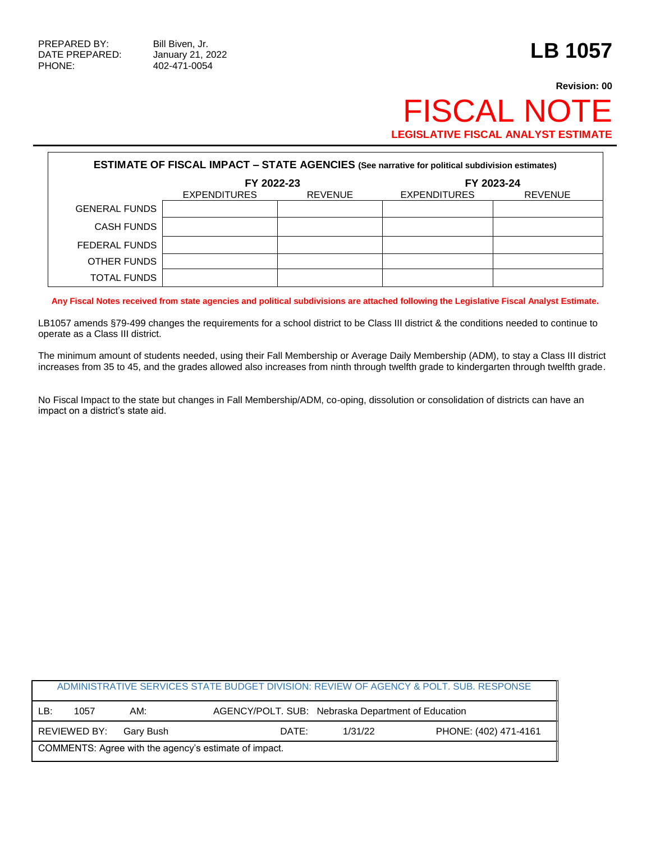PHONE: 402-471-0054

## **Revision: 00 FISCAL NOT LEGISLATIVE FISCAL ANALYST ESTIMATE**

| <b>ESTIMATE OF FISCAL IMPACT - STATE AGENCIES (See narrative for political subdivision estimates)</b> |                     |                |                     |                |  |
|-------------------------------------------------------------------------------------------------------|---------------------|----------------|---------------------|----------------|--|
|                                                                                                       | FY 2022-23          |                | FY 2023-24          |                |  |
|                                                                                                       | <b>EXPENDITURES</b> | <b>REVENUE</b> | <b>EXPENDITURES</b> | <b>REVENUE</b> |  |
| <b>GENERAL FUNDS</b>                                                                                  |                     |                |                     |                |  |
| <b>CASH FUNDS</b>                                                                                     |                     |                |                     |                |  |
| FEDERAL FUNDS                                                                                         |                     |                |                     |                |  |
| OTHER FUNDS                                                                                           |                     |                |                     |                |  |
| <b>TOTAL FUNDS</b>                                                                                    |                     |                |                     |                |  |

**Any Fiscal Notes received from state agencies and political subdivisions are attached following the Legislative Fiscal Analyst Estimate.**

LB1057 amends §79-499 changes the requirements for a school district to be Class III district & the conditions needed to continue to operate as a Class III district.

The minimum amount of students needed, using their Fall Membership or Average Daily Membership (ADM), to stay a Class III district increases from 35 to 45, and the grades allowed also increases from ninth through twelfth grade to kindergarten through twelfth grade.

No Fiscal Impact to the state but changes in Fall Membership/ADM, co-oping, dissolution or consolidation of districts can have an impact on a district's state aid.

|                                                       |              |           |                                                    |         | ADMINISTRATIVE SERVICES STATE BUDGET DIVISION: REVIEW OF AGENCY & POLT. SUB. RESPONSE |  |
|-------------------------------------------------------|--------------|-----------|----------------------------------------------------|---------|---------------------------------------------------------------------------------------|--|
| LB:                                                   | 1057         | AM:       | AGENCY/POLT. SUB: Nebraska Department of Education |         |                                                                                       |  |
|                                                       | REVIEWED BY: | Garv Bush | DATE:                                              | 1/31/22 | PHONE: (402) 471-4161                                                                 |  |
| COMMENTS: Agree with the agency's estimate of impact. |              |           |                                                    |         |                                                                                       |  |